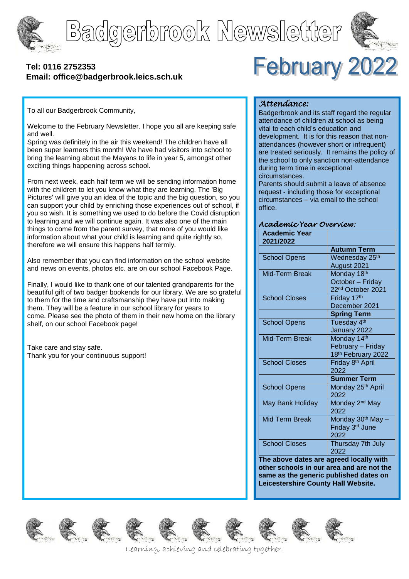

Badgerbrook Newsletter



### **[Tel: 0116](tel:0116) 2752353 Email: office@badgerbrook.leics.sch.uk**



To all our Badgerbrook Community,

Welcome to the February Newsletter. I hope you all are keeping safe and well.

Spring was definitely in the air this weekend! The children have all been super learners this month! We have had visitors into school to bring the learning about the Mayans to life in year 5, amongst other exciting things happening across school.

From next week, each half term we will be sending information home with the children to let you know what they are learning. The 'Big Pictures' will give you an idea of the topic and the big question, so you can support your child by enriching those experiences out of school, if you so wish. It is something we used to do before the Covid disruption to learning and we will continue again. It was also one of the main things to come from the parent survey, that more of you would like information about what your child is learning and quite rightly so, therefore we will ensure this happens half termly.

Also remember that you can find information on the school website and news on events, photos etc. are on our school Facebook Page.

Finally, I would like to thank one of our talented grandparents for the beautiful gift of two badger bookends for our library. We are so grateful to them for the time and craftsmanship they have put into making them. They will be a feature in our school library for years to come. Please see the photo of them in their new home on the library shelf, on our school Facebook page!

Take care and stay safe. Thank you for your continuous support!

### *Attendance:*

Badgerbrook and its staff regard the regular attendance of children at school as being vital to each child's education and development. It is for this reason that nonattendances (however short or infrequent) are treated seriously. It remains the policy of the school to only sanction non-attendance during term time in exceptional circumstances.

Parents should submit a leave of absence request - including those for exceptional circumstances – via email to the school office.

#### *Academic Year Overview:*

| <b>Academic Year</b><br>2021/2022 |                               |
|-----------------------------------|-------------------------------|
|                                   | <b>Autumn Term</b>            |
| <b>School Opens</b>               | Wednesday 25 <sup>th</sup>    |
|                                   | August 2021                   |
| Mid-Term Break                    | Monday 18th                   |
|                                   | October - Friday              |
|                                   | 22 <sup>nd</sup> October 2021 |
| <b>School Closes</b>              | Friday 17th                   |
|                                   | December 2021                 |
|                                   | <b>Spring Term</b>            |
| <b>School Opens</b>               | Tuesday 4 <sup>th</sup>       |
|                                   | January 2022                  |
| Mid-Term Break                    | Monday 14th                   |
|                                   | February - Friday             |
|                                   | 18th February 2022            |
| <b>School Closes</b>              | Friday 8 <sup>th</sup> April  |
|                                   | 2022                          |
|                                   | <b>Summer Term</b>            |
| <b>School Opens</b>               | Monday 25 <sup>th</sup> April |
|                                   | 2022                          |
| May Bank Holiday                  | Monday 2 <sup>nd</sup> May    |
|                                   | 2022                          |
| <b>Mid Term Break</b>             | Monday 30 <sup>th</sup> May - |
|                                   | Friday 3rd June               |
|                                   | 2022                          |
| <b>School Closes</b>              | Thursday 7th July             |
|                                   | 2022                          |

**The above dates are agreed locally with other schools in our area and are not the same as the generic published dates on Leicestershire County Hall Website.**















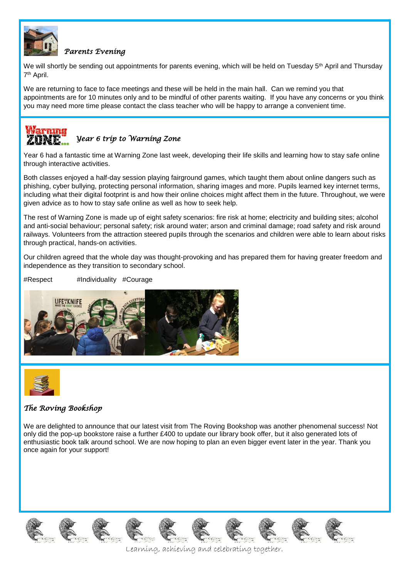

### *Parents Evening*

We will shortly be sending out appointments for parents evening, which will be held on Tuesday 5<sup>th</sup> April and Thursday 7<sup>th</sup> April.

We are returning to face to face meetings and these will be held in the main hall. Can we remind you that appointments are for 10 minutes only and to be mindful of other parents waiting. If you have any concerns or you think you may need more time please contact the class teacher who will be happy to arrange a convenient time.

## **AFERTINIA** *Year 6 trip to Warning Zone*

Year 6 had a fantastic time at Warning Zone last week, developing their life skills and learning how to stay safe online through interactive activities.

Both classes enjoyed a half-day session playing fairground games, which taught them about online dangers such as phishing, cyber bullying, protecting personal information, sharing images and more. Pupils learned key internet terms, including what their digital footprint is and how their online choices might affect them in the future. Throughout, we were given advice as to how to stay safe online as well as how to seek help.

The rest of Warning Zone is made up of eight safety scenarios: fire risk at home; electricity and building sites; alcohol and anti-social behaviour; personal safety; risk around water; arson and criminal damage; road safety and risk around railways. Volunteers from the attraction steered pupils through the scenarios and children were able to learn about risks through practical, hands-on activities.

Our children agreed that the whole day was thought-provoking and has prepared them for having greater freedom and independence as they transition to secondary school.

#Respect #Individuality #Courage





## *The Roving Bookshop*

We are delighted to announce that our latest visit from The Roving Bookshop was another phenomenal success! Not only did the pop-up bookstore raise a further £400 to update our library book offer, but it also generated lots of enthusiastic book talk around school. We are now hoping to plan an even bigger event later in the year. Thank you once again for your support!

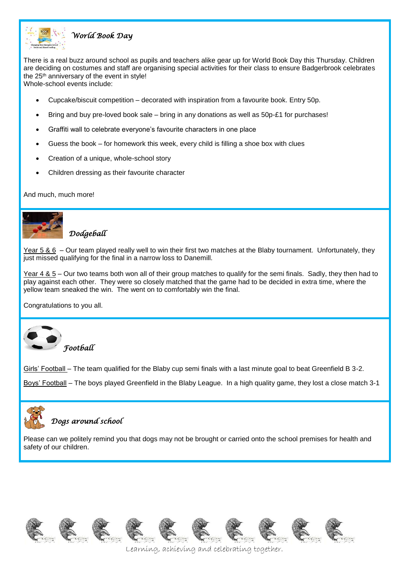

## *World Book Day*

There is a real buzz around school as pupils and teachers alike gear up for World Book Day this Thursday. Children are deciding on costumes and staff are organising special activities for their class to ensure Badgerbrook celebrates the 25<sup>th</sup> anniversary of the event in style!

Whole-school events include:

- Cupcake/biscuit competition decorated with inspiration from a favourite book. Entry 50p.
- Bring and buy pre-loved book sale bring in any donations as well as 50p-£1 for purchases!
- Graffiti wall to celebrate everyone's favourite characters in one place
- Guess the book for homework this week, every child is filling a shoe box with clues
- Creation of a unique, whole-school story
- Children dressing as their favourite character

And much, much more!



# *Dodgeball*

Year 5 & 6 – Our team played really well to win their first two matches at the Blaby tournament. Unfortunately, they just missed qualifying for the final in a narrow loss to Danemill.

Year 4 & 5 – Our two teams both won all of their group matches to qualify for the semi finals. Sadly, they then had to play against each other. They were so closely matched that the game had to be decided in extra time, where the yellow team sneaked the win. The went on to comfortably win the final.

Congratulations to you all.



Girls' Football – The team qualified for the Blaby cup semi finals with a last minute goal to beat Greenfield B 3-2.

Boys' Football – The boys played Greenfield in the Blaby League. In a high quality game, they lost a close match 3-1



## *Dogs around school*

Please can we politely remind you that dogs may not be brought or carried onto the school premises for health and safety of our children.

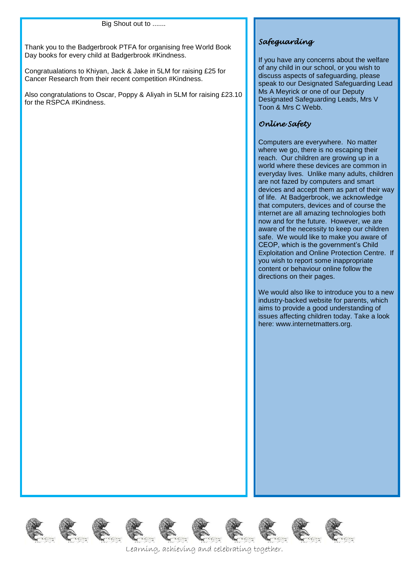#### Big Shout out to .......

Thank you to the Badgerbrook PTFA for organising free World Book Day books for every child at Badgerbrook #Kindness.

Congratualations to Khiyan, Jack & Jake in 5LM for raising £25 for Cancer Research from their recent competition #Kindness.

Also congratulations to Oscar, Poppy & Aliyah in 5LM for raising £23.10 for the RSPCA #Kindness.

## *Safeguarding*

If you have any concerns about the welfare of any child in our school, or you wish to discuss aspects of safeguarding, please speak to our Designated Safeguarding Lead Ms A Meyrick or one of our Deputy Designated Safeguarding Leads, Mrs V Toon & Mrs C Webb.

### *Online Safety*

Computers are everywhere. No matter where we go, there is no escaping their reach. Our children are growing up in a world where these devices are common in everyday lives. Unlike many adults, children are not fazed by computers and smart devices and accept them as part of their way of life. At Badgerbrook, we acknowledge that computers, devices and of course the internet are all amazing technologies both now and for the future. However, we are aware of the necessity to keep our children safe. We would like to make you aware of CEOP, which is the government's Child Exploitation and Online Protection Centre. If you wish to report some inappropriate content or behaviour online follow the directions on their pages.

We would also like to introduce you to a new industry-backed website for parents, which aims to provide a good understanding of issues affecting children today. Take a look here: www.internetmatters.org.